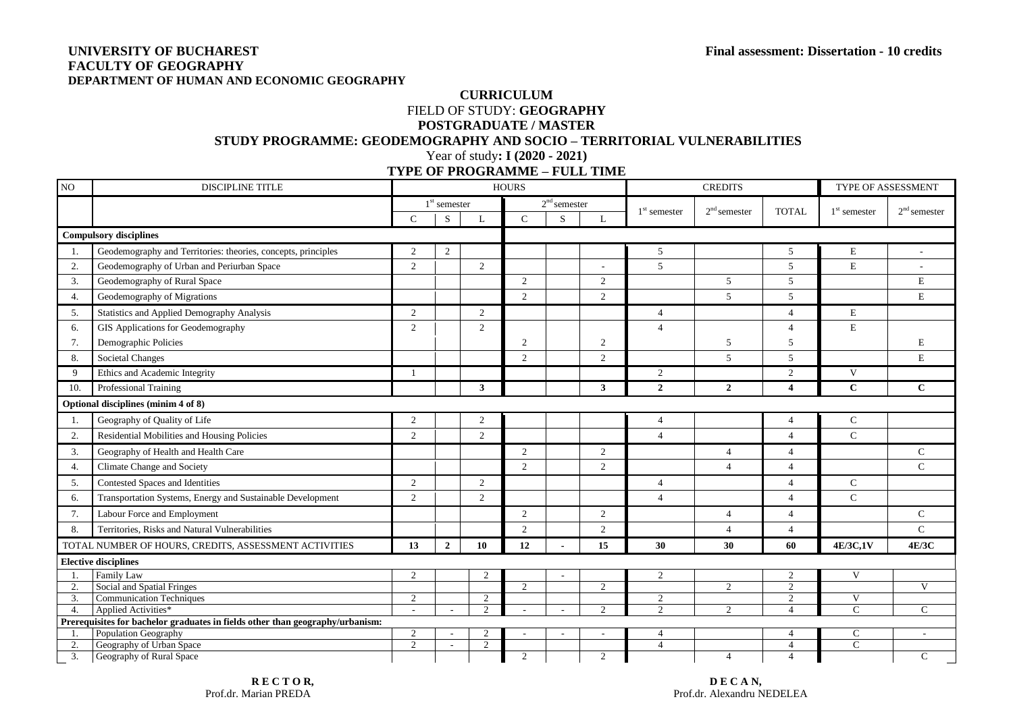## **UNIVERSITY OF BUCHAREST Final assessment: Dissertation - 10 credits FACULTY OF GEOGRAPHY DEPARTMENT OF HUMAN AND ECONOMIC GEOGRAPHY**

## **CURRICULUM** FIELD OF STUDY: **GEOGRAPHY POSTGRADUATE / MASTER STUDY PROGRAMME: GEODEMOGRAPHY AND SOCIO – TERRITORIAL VULNERABILITIES**  Year of study**: I (2020 - 2021)**

**TYPE OF PROGRAMME – FULL TIME**

| $\rm NO$                                                                      | <b>DISCIPLINE TITLE</b>                                       |                                         |                |                                 | <b>HOURS</b>   |                          |                |                          | <b>CREDITS</b> | TYPE OF ASSESSMENT               |                              |                |
|-------------------------------------------------------------------------------|---------------------------------------------------------------|-----------------------------------------|----------------|---------------------------------|----------------|--------------------------|----------------|--------------------------|----------------|----------------------------------|------------------------------|----------------|
|                                                                               |                                                               |                                         | $1st$ semester |                                 |                | $2nd$ semester           |                | $1st$ semester           | $2nd$ semester | <b>TOTAL</b>                     | $1st$ semester               | $2nd$ semester |
|                                                                               |                                                               | $\mathsf{C}$                            | S              | L                               | $\mathcal{C}$  | S                        | $\mathbf{L}$   |                          |                |                                  |                              |                |
|                                                                               | <b>Compulsory disciplines</b>                                 |                                         |                |                                 |                |                          |                |                          |                |                                  |                              |                |
| -1.                                                                           | Geodemography and Territories: theories, concepts, principles | $\overline{c}$                          | 2              |                                 |                |                          |                | 5                        |                | 5                                | $\mathbf E$                  |                |
| 2.                                                                            | Geodemography of Urban and Periurban Space                    | $\overline{c}$                          |                | 2                               |                |                          |                | 5                        |                | $\mathfrak{F}$                   | $\mathbf E$                  |                |
| 3.                                                                            | Geodemography of Rural Space                                  |                                         |                |                                 | $\overline{2}$ |                          | 2              |                          | 5              | 5                                |                              | $\mathbf E$    |
| 4.                                                                            | Geodemography of Migrations                                   |                                         |                |                                 | $\overline{2}$ |                          | $\overline{2}$ |                          | 5              | 5                                |                              | $\mathbf E$    |
| 5.                                                                            | Statistics and Applied Demography Analysis                    | $\overline{2}$                          |                | 2                               |                |                          |                | $\overline{4}$           |                | $\overline{4}$                   | E                            |                |
| 6.                                                                            | GIS Applications for Geodemography                            | $\overline{2}$                          |                | $\overline{2}$                  |                |                          |                | $\overline{4}$           |                | $\overline{4}$                   | E                            |                |
| 7.                                                                            | Demographic Policies                                          |                                         |                |                                 | $\overline{2}$ |                          | 2              |                          | 5              | 5                                |                              | $\mathbf E$    |
| 8.                                                                            | <b>Societal Changes</b>                                       |                                         |                |                                 | $\overline{2}$ |                          | $\overline{2}$ |                          | 5              | 5                                |                              | ${\bf E}$      |
| 9                                                                             | Ethics and Academic Integrity                                 |                                         |                |                                 |                |                          |                | $\overline{2}$           |                | 2                                | V                            |                |
| 10.                                                                           | Professional Training                                         |                                         |                | 3                               |                |                          | $\mathbf{3}$   | $\overline{2}$           | $\overline{2}$ | $\overline{4}$                   | $\mathbf{C}$                 | $\mathbf{C}$   |
| Optional disciplines (minim 4 of 8)                                           |                                                               |                                         |                |                                 |                |                          |                |                          |                |                                  |                              |                |
| -1.                                                                           | Geography of Quality of Life                                  | $\overline{c}$                          |                | 2                               |                |                          |                | $\overline{4}$           |                | $\overline{4}$                   | $\mathsf{C}$                 |                |
| 2.                                                                            | Residential Mobilities and Housing Policies                   | $\overline{c}$                          |                | $\overline{c}$                  |                |                          |                | $\overline{4}$           |                | $\overline{4}$                   | $\mathbf{C}$                 |                |
| 3.                                                                            | Geography of Health and Health Care                           |                                         |                |                                 | $\overline{2}$ |                          | 2              |                          | $\overline{4}$ | $\overline{4}$                   |                              | $\mathbf C$    |
| 4.                                                                            | Climate Change and Society                                    |                                         |                |                                 | $\overline{2}$ |                          | 2              |                          | $\overline{4}$ | $\overline{4}$                   |                              | $\mathbf{C}$   |
| 5.                                                                            | Contested Spaces and Identities                               | 2                                       |                | 2                               |                |                          |                | $\overline{4}$           |                | $\overline{4}$                   | $\mathbf{C}$                 |                |
| 6.                                                                            | Transportation Systems, Energy and Sustainable Development    | $\overline{c}$                          |                | 2                               |                |                          |                | $\overline{4}$           |                | $\overline{4}$                   | $\mathcal{C}$                |                |
| 7.                                                                            | Labour Force and Employment                                   |                                         |                |                                 | $\overline{2}$ |                          | 2              |                          | $\overline{4}$ | $\overline{4}$                   |                              | $\mathbf C$    |
| 8.                                                                            | Territories, Risks and Natural Vulnerabilities                |                                         |                |                                 | $\overline{2}$ |                          | $\mathfrak{2}$ |                          | $\overline{4}$ | $\overline{4}$                   |                              | $\overline{C}$ |
|                                                                               | TOTAL NUMBER OF HOURS, CREDITS, ASSESSMENT ACTIVITIES         | 13                                      | $\overline{2}$ | 10                              | 12             |                          | 15             | 30                       | 30             | 60                               | 4E/3C,1V                     | 4E/3C          |
| <b>Elective disciplines</b>                                                   |                                                               |                                         |                |                                 |                |                          |                |                          |                |                                  |                              |                |
|                                                                               | Family Law                                                    | 2                                       |                | $\overline{2}$                  |                |                          |                | 2                        |                | 2                                | V                            |                |
| 2.                                                                            | Social and Spatial Fringes                                    |                                         |                |                                 | $\mathcal{L}$  |                          | $\overline{c}$ |                          | $\overline{2}$ | 2                                |                              | $\mathbf{V}$   |
| 3.                                                                            | <b>Communication Techniques</b>                               | $\overline{2}$                          |                | 2                               |                |                          |                | $\overline{c}$           |                | 2                                | V                            |                |
| 4.                                                                            | Applied Activities*                                           | $\sim$                                  |                | $\mathfrak{D}$                  |                | ÷                        | $\mathfrak{D}$ | $\overline{\mathcal{L}}$ | $\mathfrak{D}$ | $\overline{4}$                   | $\overline{C}$               | $\overline{C}$ |
| Prerequisites for bachelor graduates in fields other than geography/urbanism: |                                                               |                                         |                |                                 |                |                          |                |                          |                |                                  |                              |                |
| -1.                                                                           | <b>Population Geography</b>                                   | $\mathcal{D}$<br>$\mathcal{D}_{\alpha}$ |                | $\overline{2}$<br>$\mathcal{L}$ |                | $\overline{\phantom{a}}$ |                | $\overline{4}$           |                | 4                                | $\mathcal{C}$<br>$\mathbf C$ |                |
| 2.<br>3.                                                                      | Geography of Urban Space<br>Geography of Rural Space          |                                         |                |                                 | $\overline{2}$ |                          | $\overline{2}$ | $\overline{4}$           | $\overline{4}$ | $\overline{4}$<br>$\overline{4}$ |                              | $\overline{C}$ |
|                                                                               |                                                               |                                         |                |                                 |                |                          |                |                          |                |                                  |                              |                |